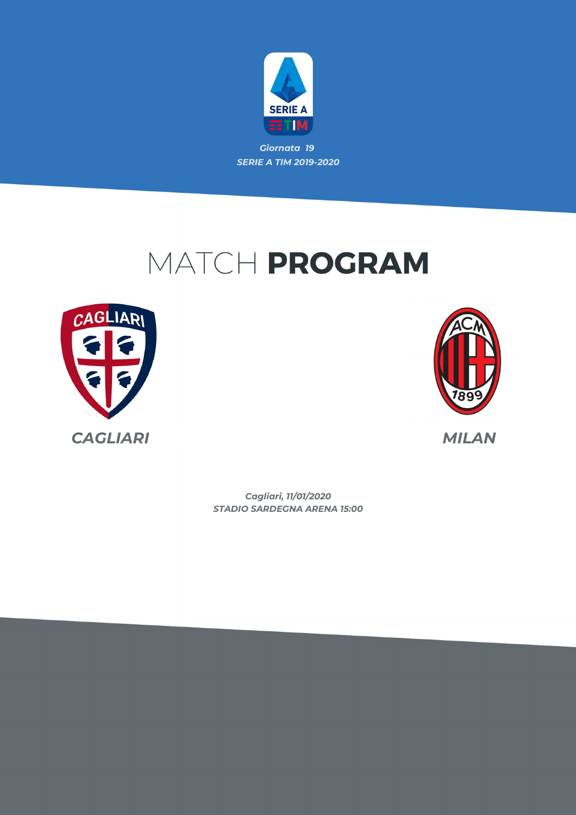

## MATCH PROGRAM





*STADIO SARDEGNA ARENA 15:00 Cagliari, 11/01/2020*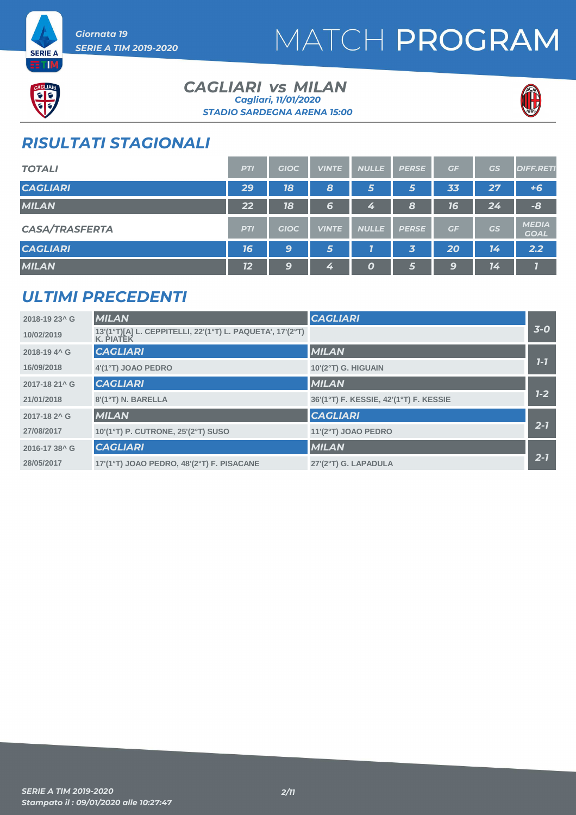





#### *CAGLIARI* vs MILAN *STADIO SARDEGNA ARENA 15:00 Cagliari, 11/01/2020*



### *RISULTATI STAGIONALI*

| <b>TOTALI</b>         | <b>PTI</b> | <b>GIOC</b> | <b>VINTE</b> | <b>NULLE</b> | <b>PERSE</b> | GF | <b>GS</b> | <b>DIFF.RETI</b>            |
|-----------------------|------------|-------------|--------------|--------------|--------------|----|-----------|-----------------------------|
| <b>CAGLIARI</b>       | 29         | 18          | 8            | 5            | 5            | 33 | 27        | $+6$                        |
| <b>MILAN</b>          | 22         | 18          | 6            | 4            | 8            | 16 | 24        | $-8$                        |
| <b>CASA/TRASFERTA</b> | <b>PTI</b> | <b>GIOC</b> | <b>VINTE</b> | <b>NULLE</b> | <b>PERSE</b> | GF | GS        | <b>MEDIA</b><br><b>GOAL</b> |
| <b>CAGLIARI</b>       | 16         | 9           | 5            |              | 3            | 20 | 14        | 2.2                         |
| <b>MILAN</b>          | 12         | 9           | 4            | 0            | 5            | 9  | 14        |                             |

### *ULTIMI PRECEDENTI*

| 2018-19 23^ G            | <b>MILAN</b>                                                                  | <b>CAGLIARI</b>                        |         |
|--------------------------|-------------------------------------------------------------------------------|----------------------------------------|---------|
| 10/02/2019               | 13'(1°T)[A] L. CEPPITELLI, 22'(1°T) L. PAQUETA', 17'(2°T)<br><b>K. PIATEK</b> |                                        | $3-0$   |
| 2018-19 4^ G             | <b>CAGLIARI</b>                                                               | <b>MILAN</b>                           |         |
| 16/09/2018               | 4'(1°T) JOAO PEDRO                                                            | 10'(2°T) G. HIGUAIN                    | $1 - 7$ |
| 2017-18 21^ G            | <b>CAGLIARI</b>                                                               | <b>MILAN</b>                           |         |
| 21/01/2018               | 8'(1°T) N. BARELLA                                                            | 36'(1°T) F. KESSIE, 42'(1°T) F. KESSIE | $1-2$   |
| 2017-18 2 <sup>^</sup> G | <b>MILAN</b>                                                                  | <b>CAGLIARI</b>                        |         |
| 27/08/2017               | 10'(1°T) P. CUTRONE, 25'(2°T) SUSO                                            | 11'(2°T) JOAO PEDRO                    | $2 - 7$ |
| 2016-17 38^ G            | <b>CAGLIARI</b>                                                               | <b>MILAN</b>                           |         |
| 28/05/2017               | 17'(1°T) JOAO PEDRO, 48'(2°T) F. PISACANE                                     | 27'(2°T) G. LAPADULA                   | $2 - 7$ |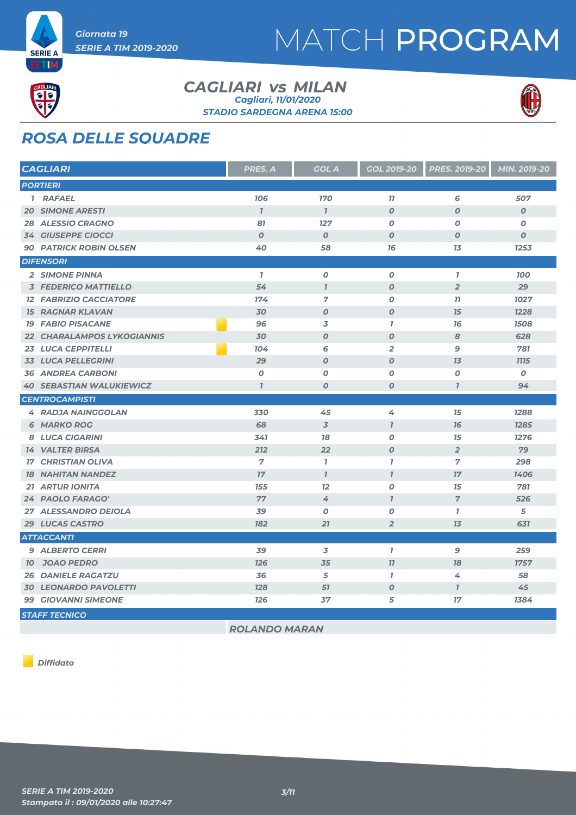



ET M

#### *CAGLIARI* vs MILAN *STADIO SARDEGNA ARENA 15:00 Cagliari, 11/01/2020*



### *ROSA DELLE SQUADRE*

| <b>CAGLIARI</b>                   | <b>PRES. A</b>   | <b>GOL A</b>     | <b>GOL 2019-20</b> | <b>PRES. 2019-20</b> | MIN. 2019-20     |
|-----------------------------------|------------------|------------------|--------------------|----------------------|------------------|
| <b>PORTIERI</b>                   |                  |                  |                    |                      |                  |
| 1 RAFAEL                          | 106              | <b>170</b>       | 77                 | 6                    | 507              |
| <b>20 SIMONE ARESTI</b>           | $\mathbf{I}$     | $\mathbf{I}$     | $\boldsymbol{O}$   | $\boldsymbol{O}$     | $\boldsymbol{O}$ |
| <b>28 ALESSIO CRAGNO</b>          | 81               | 127              | 0                  | 0                    | 0                |
| <b>34 GIUSEPPE CIOCCI</b>         | $\boldsymbol{0}$ | $\boldsymbol{0}$ | $\boldsymbol{0}$   | $\boldsymbol{0}$     | $\boldsymbol{o}$ |
| <b>90 PATRICK ROBIN OLSEN</b>     | 40               | 58               | 16                 | 13                   | 1253             |
| <b>DIFENSORI</b>                  |                  |                  |                    |                      |                  |
| 2 SIMONE PINNA                    | $\mathbf{7}$     | $\boldsymbol{0}$ | $\boldsymbol{0}$   | $\overline{1}$       | <b>100</b>       |
| <b>3 FEDERICO MATTIELLO</b>       | 54               | $\overline{1}$   | $\boldsymbol{O}$   | $\overline{2}$       | 29               |
| <b>12 FABRIZIO CACCIATORE</b>     | 174              | $\overline{7}$   | 0                  | 77                   | 1027             |
| <b>15 RAGNAR KLAVAN</b>           | 30               | $\boldsymbol{0}$ | $\boldsymbol{O}$   | 75                   | 1228             |
| <b>19 FABIO PISACANE</b>          | 96               | 3                | $\overline{1}$     | 76                   | 1508             |
| <b>22 CHARALAMPOS LYKOGIANNIS</b> | 30               | $\boldsymbol{O}$ | $\boldsymbol{O}$   | 8                    | 628              |
| <b>23 LUCA CEPPITELLI</b>         | 104              | 6                | $\overline{2}$     | 9                    | 781              |
| <b>33 LUCA PELLEGRINI</b>         | 29               | $\boldsymbol{O}$ | $\boldsymbol{O}$   | 13                   | <b>1115</b>      |
| <b>36 ANDREA CARBONI</b>          | 0                | 0                | 0                  | O                    | 0                |
| <b>40 SEBASTIAN WALUKIEWICZ</b>   | $\overline{1}$   | $\boldsymbol{0}$ | $\boldsymbol{o}$   | $\bf{7}$             | 94               |
| <b>CENTROCAMPISTI</b>             |                  |                  |                    |                      |                  |
| 4 RADJA NAINGGOLAN                | 330              | 45               | 4                  | 15                   | 1288             |
| <b>6 MARKO ROG</b>                | 68               | $\overline{3}$   | $\mathbf{I}$       | 76                   | 1285             |
| 8 LUCA CIGARINI                   | 341              | 78               | $\boldsymbol{O}$   | 15                   | 1276             |
| <b>14 VALTER BIRSA</b>            | 212              | 22               | $\boldsymbol{0}$   | $\overline{2}$       | 79               |
| <b>17 CHRISTIAN OLIVA</b>         | $\overline{7}$   | $\overline{1}$   | $\overline{1}$     | $\overline{7}$       | 298              |
| <b>18 NAHITAN NANDEZ</b>          | 17               | $\overline{1}$   | $\overline{I}$     | 17                   | 1406             |
| <b>21 ARTUR IONITA</b>            | 155              | 12               | $\boldsymbol{O}$   | 15                   | 781              |
| 24 PAOLO FARAGO'                  | 77               | 4                | $\overline{1}$     | $\overline{7}$       | 526              |
| 27 ALESSANDRO DEIOLA              | 39               | $\boldsymbol{O}$ | O                  | $\mathbf{7}$         | 5                |
| 29 LUCAS CASTRO                   | 182              | 21               | $\overline{2}$     | 7 <sub>3</sub>       | 631              |
| <b>ATTACCANTI</b>                 |                  |                  |                    |                      |                  |
| <b>9 ALBERTO CERRI</b>            | 39               | 3                | $\mathbf{I}$       | 9                    | 259              |
| <b>10 JOAO PEDRO</b>              | <b>126</b>       | 35               | 77                 | 78                   | 1757             |
| <b>26 DANIELE RAGATZU</b>         | 36               | 5                | $\mathbf{I}$       | 4                    | 58               |
| <b>30 LEONARDO PAVOLETTI</b>      | 128              | 51               | $\boldsymbol{0}$   | $\mathbf{7}$         | 45               |
| <b>99 GIOVANNI SIMEONE</b>        | 126              | 37               | 5                  | $17\,$               | 1384             |
| <b>STAFF TECNICO</b>              |                  |                  |                    |                      |                  |

*ROLANDO MARAN*

*Diffidato*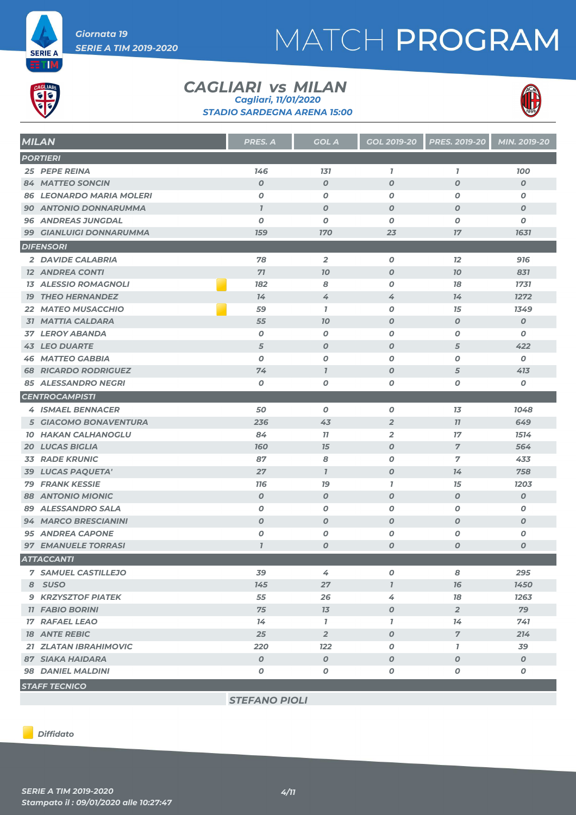

## MATCH PROGRAM



#### *CAGLIARI* vs MILAN *STADIO SARDEGNA ARENA 15:00 Cagliari, 11/01/2020*



| <b>MILAN</b>                    | <b>PRES. A</b>   | <b>GOL A</b>     | GOL 2019-20      | <b>PRES. 2019-20</b> | MIN. 2019-20     |
|---------------------------------|------------------|------------------|------------------|----------------------|------------------|
| <b>PORTIERI</b>                 |                  |                  |                  |                      |                  |
| 25 PEPE REINA                   | 146              | 131              | $\mathbf{I}$     | $\mathbf{I}$         | <b>100</b>       |
| <b>84 MATTEO SONCIN</b>         | $\boldsymbol{O}$ | $\boldsymbol{0}$ | $\boldsymbol{0}$ | $\boldsymbol{O}$     | $\boldsymbol{0}$ |
| <b>86 LEONARDO MARIA MOLERI</b> | 0                | $\boldsymbol{0}$ | 0                | 0                    | 0                |
| <b>90 ANTONIO DONNARUMMA</b>    | $\overline{1}$   | $\boldsymbol{O}$ | $\boldsymbol{O}$ | $\boldsymbol{O}$     | O                |
| <b>96 ANDREAS JUNGDAL</b>       | 0                | $\boldsymbol{0}$ | $\boldsymbol{0}$ | $\boldsymbol{O}$     | 0                |
| <b>99 GIANLUIGI DONNARUMMA</b>  | <b>159</b>       | <b>170</b>       | 23               | 17                   | 1631             |
| <b>DIFENSORI</b>                |                  |                  |                  |                      |                  |
| 2 DAVIDE CALABRIA               | 78               | $\overline{2}$   | 0                | 12                   | 916              |
| <b>12 ANDREA CONTI</b>          | 71               | 70               | $\boldsymbol{O}$ | 70                   | 831              |
| <b>13 ALESSIO ROMAGNOLI</b>     | 182              | 8                | $\boldsymbol{0}$ | 78                   | 1731             |
| <b>19 THEO HERNANDEZ</b>        | 14               | 4                | 4                | 14                   | 1272             |
| <b>22 MATEO MUSACCHIO</b>       | 59               | $\mathbf{I}$     | 0                | 15                   | 1349             |
| <b>31 MATTIA CALDARA</b>        | 55               | 70               | $\boldsymbol{0}$ | $\boldsymbol{O}$     | $\boldsymbol{O}$ |
| <b>37 LEROY ABANDA</b>          | O                | $\boldsymbol{0}$ | $\boldsymbol{0}$ | O                    | 0                |
| <b>43 LEO DUARTE</b>            | 5                | $\boldsymbol{O}$ | $\boldsymbol{0}$ | 5                    | 422              |
| <b>46 MATTEO GABBIA</b>         | 0                | 0                | 0                | O                    | 0                |
| <b>68 RICARDO RODRIGUEZ</b>     | 74               | $\overline{1}$   | $\boldsymbol{O}$ | 5                    | 413              |
| 85 ALESSANDRO NEGRI             | 0                | 0                | O                | O                    | 0                |
| <b>CENTROCAMPISTI</b>           |                  |                  |                  |                      |                  |
| <b>4 ISMAEL BENNACER</b>        | 50               | $\boldsymbol{0}$ | $\boldsymbol{O}$ | $\overline{13}$      | 1048             |
| <b>5 GIACOMO BONAVENTURA</b>    | 236              | 43               | $\overline{2}$   | 77                   | 649              |
| <b>10 HAKAN CALHANOGLU</b>      | 84               | 11               | $\overline{2}$   | 17                   | 1514             |
| <b>20 LUCAS BIGLIA</b>          | <b>160</b>       | 15               | $\boldsymbol{0}$ | $\overline{7}$       | 564              |
| <b>33 RADE KRUNIC</b>           | 87               | 8                | 0                | $\overline{7}$       | 433              |
| 39 LUCAS PAQUETA'               | 27               | $\mathbf{I}$     | $\boldsymbol{0}$ | 14                   | 758              |
| <b>79 FRANK KESSIE</b>          | <b>116</b>       | 79               | $\mathbf{7}$     | 15                   | 1203             |
| <b>88 ANTONIO MIONIC</b>        | $\boldsymbol{0}$ | $\boldsymbol{0}$ | $\boldsymbol{0}$ | $\boldsymbol{0}$     | $\boldsymbol{0}$ |
| 89 ALESSANDRO SALA              | O                | $\boldsymbol{O}$ | 0                | O                    | Ο                |
| <b>94 MARCO BRESCIANINI</b>     | 0                | $\boldsymbol{0}$ | $\boldsymbol{0}$ | $\boldsymbol{O}$     | O                |
| <b>95 ANDREA CAPONE</b>         | 0                | 0                | 0                | O                    | Ο                |
| <b>97 EMANUELE TORRASI</b>      | $\overline{1}$   | 0                | $\boldsymbol{o}$ | $\boldsymbol{o}$     | 0                |
| <b>ATTACCANTI</b>               |                  |                  |                  |                      |                  |
| <b>7 SAMUEL CASTILLEJO</b>      | 39               | 4                | O                | 8                    | 295              |
| 8 SUSO                          | 145              | 27               | $\mathbf{7}$     | 76                   | 1450             |
| <b>9 KRZYSZTOF PIATEK</b>       | 55               | 26               | 4                | 18                   | 1263             |
| <b>11 FABIO BORINI</b>          | 75               | 13 <sup>7</sup>  | $\boldsymbol{o}$ | $\overline{2}$       | 79               |
| <b>17 RAFAEL LEAO</b>           | 14               | $\mathbf{I}$     | $\mathbf{I}$     | 14                   | 741              |
| <b>18 ANTE REBIC</b>            | 25               | $\overline{2}$   | $\boldsymbol{o}$ | $\overline{7}$       | 214              |
| 21 ZLATAN IBRAHIMOVIC           | 220              | 122              | 0                | $\mathbf{7}$         | 39               |
| 87 SIAKA HAIDARA                | $\boldsymbol{O}$ | $\boldsymbol{O}$ | $\boldsymbol{o}$ | $\boldsymbol{0}$     | $\boldsymbol{0}$ |
| 98 DANIEL MALDINI               | Ο                | 0                | 0                | 0                    | 0                |
| <b>STAFF TECNICO</b>            |                  |                  |                  |                      |                  |

*STEFANO PIOLI*

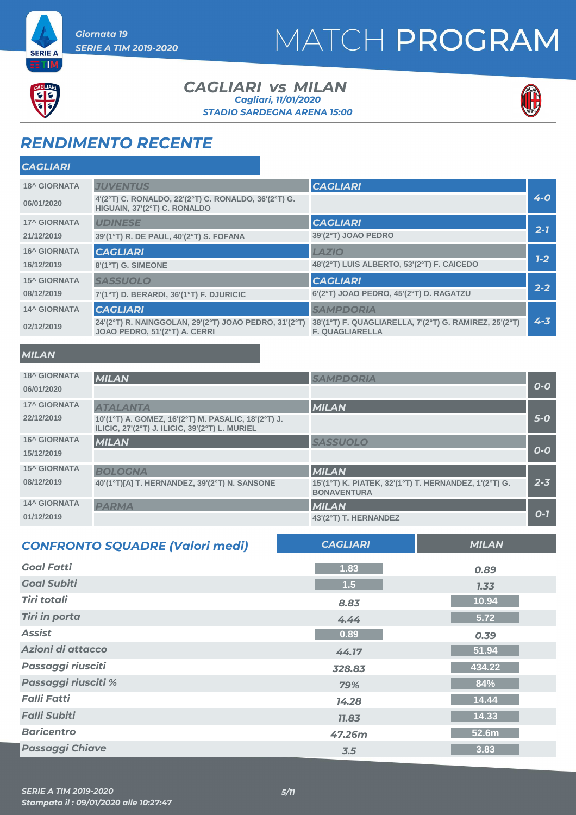



ETM

#### *CAGLIARI* vs MILAN *STADIO SARDEGNA ARENA 15:00 Cagliari, 11/01/2020*



### *RENDIMENTO RECENTE*

| <b>CAGLIARI</b><br><b>18^ GIORNATA</b><br><b>JUVENTUS</b><br>$4 - 0$<br>4'(2°T) C. RONALDO, 22'(2°T) C. RONALDO, 36'(2°T) G.<br>06/01/2020<br>HIGUAIN, 37'(2°T) C. RONALDO<br><b>17^ GIORNATA</b><br><b>CAGLIARI</b><br><b>UDINESE</b><br>$2 - 7$<br>39'(2°T) JOAO PEDRO<br>21/12/2019<br>39'(1°T) R. DE PAUL, 40'(2°T) S. FOFANA<br><b>CAGLIARI</b><br><b>16^ GIORNATA</b><br>LAZIO<br>$1 - 2$<br>48'(2°T) LUIS ALBERTO, 53'(2°T) F. CAICEDO<br>16/12/2019<br>8'(1°T) G. SIMEONE<br><b>15^ GIORNATA</b><br><b>CAGLIARI</b><br><b>SASSUOLO</b><br>$2 - 2$<br>6'(2°T) JOAO PEDRO, 45'(2°T) D. RAGATZU<br>7'(1°T) D. BERARDI, 36'(1°T) F. DJURICIC<br>08/12/2019<br><b>14^ GIORNATA</b><br><b>CAGLIARI</b><br><b>SAMPDORIA</b><br>$4 - 3$<br>38'(1°T) F. QUAGLIARELLA, 7'(2°T) G. RAMIREZ, 25'(2°T)<br>24'(2°T) R. NAINGGOLAN, 29'(2°T) JOAO PEDRO, 31'(2°T)<br>02/12/2019<br>JOAO PEDRO, 51'(2°T) A. CERRI<br><b>F. QUAGLIARELLA</b> | <b>CAGLIARI</b> |  |  |
|-------------------------------------------------------------------------------------------------------------------------------------------------------------------------------------------------------------------------------------------------------------------------------------------------------------------------------------------------------------------------------------------------------------------------------------------------------------------------------------------------------------------------------------------------------------------------------------------------------------------------------------------------------------------------------------------------------------------------------------------------------------------------------------------------------------------------------------------------------------------------------------------------------------------------------------|-----------------|--|--|
|                                                                                                                                                                                                                                                                                                                                                                                                                                                                                                                                                                                                                                                                                                                                                                                                                                                                                                                                     |                 |  |  |
|                                                                                                                                                                                                                                                                                                                                                                                                                                                                                                                                                                                                                                                                                                                                                                                                                                                                                                                                     |                 |  |  |
|                                                                                                                                                                                                                                                                                                                                                                                                                                                                                                                                                                                                                                                                                                                                                                                                                                                                                                                                     |                 |  |  |
|                                                                                                                                                                                                                                                                                                                                                                                                                                                                                                                                                                                                                                                                                                                                                                                                                                                                                                                                     |                 |  |  |
|                                                                                                                                                                                                                                                                                                                                                                                                                                                                                                                                                                                                                                                                                                                                                                                                                                                                                                                                     |                 |  |  |
|                                                                                                                                                                                                                                                                                                                                                                                                                                                                                                                                                                                                                                                                                                                                                                                                                                                                                                                                     |                 |  |  |
|                                                                                                                                                                                                                                                                                                                                                                                                                                                                                                                                                                                                                                                                                                                                                                                                                                                                                                                                     |                 |  |  |
|                                                                                                                                                                                                                                                                                                                                                                                                                                                                                                                                                                                                                                                                                                                                                                                                                                                                                                                                     |                 |  |  |
|                                                                                                                                                                                                                                                                                                                                                                                                                                                                                                                                                                                                                                                                                                                                                                                                                                                                                                                                     |                 |  |  |
|                                                                                                                                                                                                                                                                                                                                                                                                                                                                                                                                                                                                                                                                                                                                                                                                                                                                                                                                     |                 |  |  |

#### *MILAN*

| <b>18^ GIORNATA</b><br>06/01/2020 | <b>MILAN</b>                                                                                          | <b>SAMPDORIA</b>                                                            | $O-O$   |
|-----------------------------------|-------------------------------------------------------------------------------------------------------|-----------------------------------------------------------------------------|---------|
|                                   |                                                                                                       |                                                                             |         |
| <b>17^ GIORNATA</b>               | <b>ATALANTA</b>                                                                                       | <b>MILAN</b>                                                                |         |
| 22/12/2019                        | 10'(1°T) A. GOMEZ, 16'(2°T) M. PASALIC, 18'(2°T) J.<br>ILICIC, 27'(2°T) J. ILICIC, 39'(2°T) L. MURIEL |                                                                             | $5-0$   |
| <b>16^ GIORNATA</b>               | <b>MILAN</b>                                                                                          | <b>SASSUOLO</b>                                                             |         |
| 15/12/2019                        |                                                                                                       |                                                                             | $O-O$   |
| <b>15^ GIORNATA</b>               | <b>BOLOGNA</b>                                                                                        | <b>MILAN</b>                                                                |         |
| 08/12/2019                        | 40'(1°T)[A] T. HERNANDEZ, 39'(2°T) N. SANSONE                                                         | 15'(1°T) K. PIATEK, 32'(1°T) T. HERNANDEZ, 1'(2°T) G.<br><b>BONAVENTURA</b> | $2 - 3$ |
| <b>14^ GIORNATA</b>               | <b>PARMA</b>                                                                                          | <b>MILAN</b>                                                                |         |
| 01/12/2019                        |                                                                                                       | 43'(2°T) T. HERNANDEZ                                                       | $O - 7$ |

| <b>CONFRONTO SQUADRE (Valori medi)</b> | <b>CAGLIARI</b> | <b>MILAN</b> |
|----------------------------------------|-----------------|--------------|
| <b>Goal Fatti</b>                      | 1.83            | 0.89         |
| <b>Goal Subiti</b>                     | 1.5             | 1.33         |
| <b>Tiri totali</b>                     | 8.83            | 10.94        |
| <b>Tiri in porta</b>                   | 4.44            | 5.72         |
| <b>Assist</b>                          | 0.89            | 0.39         |
| Azioni di attacco                      | 44.17           | 51.94        |
| Passaggi riusciti                      | 328.83          | 434.22       |
| Passaggi riusciti %                    | 79%             | 84%          |
| <b>Falli Fatti</b>                     | 14.28           | 14.44        |
| <b>Falli Subiti</b>                    | 11.83           | 14.33        |
| <b>Baricentro</b>                      | 47.26m          | 52.6m        |
| <b>Passaggi Chiave</b>                 | 3.5             | 3.83         |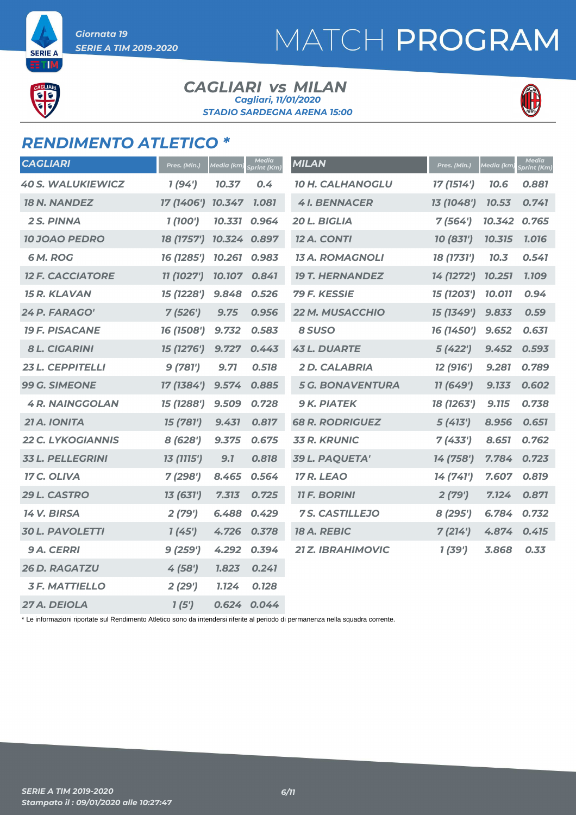

# $rac{1}{\sqrt{2}}$

**SERIE A** ETIM

#### *CAGLIARI* vs MILAN *STADIO SARDEGNA ARENA 15:00 Cagliari, 11/01/2020*



### *RENDIMENTO ATLETICO \**

| <b>CAGLIARI</b>          | Pres. (Min.) | Media (km)   | <b>Media</b><br><b>Sprint (Km)</b> | <b>MILAN</b>             | Pres. (Min.) | Media (km) | <b>Media</b><br>Sprint (Km) |
|--------------------------|--------------|--------------|------------------------------------|--------------------------|--------------|------------|-----------------------------|
| <b>40 S. WALUKIEWICZ</b> | 1(94)        | 10.37        | 0.4                                | <b>10 H. CALHANOGLU</b>  | 17 (1514')   | 10.6       | 0.881                       |
| <b>18 N. NANDEZ</b>      | 17 (1406')   | 10.347       | 1.081                              | <b>41. BENNACER</b>      | 13 (1048')   | 10.53      | 0.741                       |
| 2 S. PINNA               | 1(100')      | 10.331       | 0.964                              | 20 L. BIGLIA             | 7(564)       | 10.342     | 0.765                       |
| <b>10 JOAO PEDRO</b>     | 18 (1757')   | 10.324 0.897 |                                    | <b>12 A. CONTI</b>       | 10 (831')    | 10.315     | 1.016                       |
| <b>6M.ROG</b>            | 16 (1285')   | 10.261       | 0.983                              | <b>13 A. ROMAGNOLI</b>   | 18 (1731')   | 10.3       | 0.541                       |
| <b>12 F. CACCIATORE</b>  | 11 (1027')   | 10.107       | 0.841                              | <b>19 T. HERNANDEZ</b>   | 14 (1272')   | 10.251     | 1.109                       |
| <b>15 R. KLAVAN</b>      | 15 (1228')   | 9.848        | 0.526                              | 79 F. KESSIE             | 15 (1203')   | 10.011     | 0.94                        |
| 24 P. FARAGO'            | 7(526')      | 9.75         | 0.956                              | 22 M. MUSACCHIO          | 15 (1349')   | 9.833      | 0.59                        |
| <b>19 F. PISACANE</b>    | 16 (1508')   | 9.732        | 0.583                              | 8 SUSO                   | 16 (1450')   | 9.652      | 0.631                       |
| <b>8 L. CIGARINI</b>     | 15 (1276')   | 9.727        | 0.443                              | <b>43 L. DUARTE</b>      | 5(422')      | 9.452      | 0.593                       |
| 23 L. CEPPITELLI         | 9(781')      | 9.71         | 0.518                              | <b>2D. CALABRIA</b>      | 12 (916')    | 9.281      | 0.789                       |
| <b>99 G. SIMEONE</b>     | 17 (1384')   | 9.574        | 0.885                              | <b>5 G. BONAVENTURA</b>  | 11 (649')    | 9.133      | 0.602                       |
| <b>4 R. NAINGGOLAN</b>   | 15 (1288')   | 9.509        | 0.728                              | <b>9 K. PIATEK</b>       | 18 (1263')   | 9.775      | 0.738                       |
| 21 A. IONITA             | 15 (781')    | 9.431        | 0.817                              | <b>68 R. RODRIGUEZ</b>   | 5(413')      | 8.956      | 0.651                       |
| <b>22 C. LYKOGIANNIS</b> | 8(628')      | 9.375        | 0.675                              | <b>33 R. KRUNIC</b>      | 7(433')      | 8.651      | 0.762                       |
| <b>33 L. PELLEGRINI</b>  | 13 (1115')   | 9.1          | 0.818                              | <b>39 L. PAQUETA'</b>    | 14 (758')    | 7.784      | 0.723                       |
| 17 C. OLIVA              | 7(298')      | 8.465        | 0.564                              | <b>17 R. LEAO</b>        | 14 (741')    | 7.607      | 0.819                       |
| 29 L. CASTRO             | 13 (631')    | 7.313        | 0.725                              | <b>11 F. BORINI</b>      | 2(79')       | 7.124      | 0.871                       |
| 14 V. BIRSA              | 2(79')       | 6.488        | 0.429                              | <b>7 S. CASTILLEJO</b>   | 8 (295')     | 6.784      | 0.732                       |
| <b>30 L. PAVOLETTI</b>   | 1(45')       | 4.726        | 0.378                              | <b>18 A. REBIC</b>       | 7(214')      | 4.874      | 0.415                       |
| <b>9 A. CERRI</b>        | 9(259')      | 4.292        | 0.394                              | <b>21 Z. IBRAHIMOVIC</b> | 1(39')       | 3.868      | 0.33                        |
| <b>26 D. RAGATZU</b>     | 4(58)        | 1.823        | 0.241                              |                          |              |            |                             |
| <b>3F. MATTIELLO</b>     | 2(29')       | 1.124        | 0.128                              |                          |              |            |                             |
| 27 A. DEIOLA             | 1(5')        | 0.624        | 0.044                              |                          |              |            |                             |

\* Le informazioni riportate sul Rendimento Atletico sono da intendersi riferite al periodo di permanenza nella squadra corrente.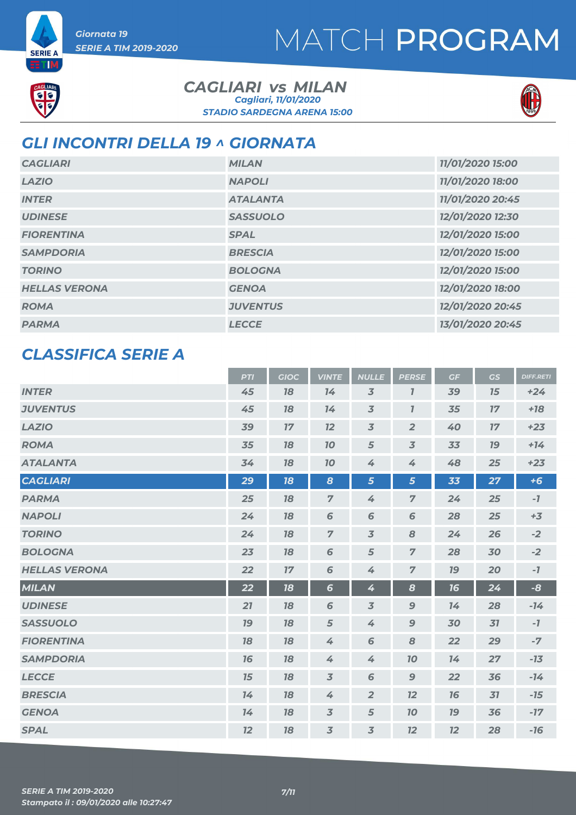



**SERIE A** ETIM

#### *CAGLIARI* vs MILAN *STADIO SARDEGNA ARENA 15:00 Cagliari, 11/01/2020*



### *GLI INCONTRI DELLA 19 ^ GIORNATA*

| <b>CAGLIARI</b>      | <b>MILAN</b>    | 11/01/2020 15:00 |
|----------------------|-----------------|------------------|
| <b>LAZIO</b>         | <b>NAPOLI</b>   | 11/01/2020 18:00 |
| <b>INTER</b>         | <b>ATALANTA</b> | 11/01/2020 20:45 |
| <b>UDINESE</b>       | <b>SASSUOLO</b> | 12/01/2020 12:30 |
| <b>FIORENTINA</b>    | <b>SPAL</b>     | 12/01/2020 15:00 |
| <b>SAMPDORIA</b>     | <b>BRESCIA</b>  | 12/01/2020 15:00 |
| <b>TORINO</b>        | <b>BOLOGNA</b>  | 12/01/2020 15:00 |
| <b>HELLAS VERONA</b> | <b>GENOA</b>    | 12/01/2020 18:00 |
| <b>ROMA</b>          | <b>JUVENTUS</b> | 12/01/2020 20:45 |
| <b>PARMA</b>         | <b>LECCE</b>    | 13/01/2020 20:45 |

### *CLASSIFICA SERIE A*

|                      | <b>PTI</b> | <b>GIOC</b> | <b>VINTE</b>    | <b>NULLE</b>   | <b>PERSE</b>     | GF        | <b>GS</b> | <b>DIFF.RETI</b> |
|----------------------|------------|-------------|-----------------|----------------|------------------|-----------|-----------|------------------|
| <b>INTER</b>         | 45         | 18          | 14              | $\overline{3}$ | $\overline{I}$   | 39        | 15        | $+24$            |
| <b>JUVENTUS</b>      | 45         | 18          | 14              | $\overline{3}$ | $\overline{I}$   | 35        | 17        | $+18$            |
| <b>LAZIO</b>         | 39         | 17          | 12              | $\overline{3}$ | $\overline{2}$   | 40        | 17        | $+23$            |
| <b>ROMA</b>          | 35         | 18          | 10              | 5              | $\overline{3}$   | 33        | 19        | $+14$            |
| <b>ATALANTA</b>      | 34         | 18          | 10              | $\overline{4}$ | 4                | 48        | 25        | $+23$            |
| <b>CAGLIARI</b>      | 29         | 18          | 8               | 5              | 5                | 33        | 27        | $+6$             |
| <b>PARMA</b>         | 25         | 78          | $\overline{7}$  | 4              | $\overline{z}$   | 24        | 25        | $-7$             |
| <b>NAPOLI</b>        | 24         | 18          | 6               | 6              | 6                | 28        | 25        | $+3$             |
| <b>TORINO</b>        | 24         | 18          | $\overline{7}$  | $\overline{3}$ | 8                | 24        | 26        | $-2$             |
| <b>BOLOGNA</b>       | 23         | 18          | 6               | 5              | $\overline{z}$   | 28        | 30        | $-2$             |
| <b>HELLAS VERONA</b> | 22         | 17          | 6               | 4              | $\overline{7}$   | <b>19</b> | 20        | $-7$             |
| <b>MILAN</b>         | 22         | 18          | $6\phantom{1}6$ | 4              | 8                | 16        | 24        | -8               |
| <b>UDINESE</b>       | 21         | 18          | 6               | $\overline{3}$ | $\mathbf{9}$     | 74        | 28        | $-14$            |
| <b>SASSUOLO</b>      | 19         | 18          | 5               | 4              | $\mathbf{9}$     | 30        | 37        | $-7$             |
| <b>FIORENTINA</b>    | 18         | 18          | 4               | 6              | 8                | 22        | 29        | $-7$             |
| <b>SAMPDORIA</b>     | 16         | 18          | 4               | 4              | 10               | 14        | 27        | $-13$            |
| <b>LECCE</b>         | 15         | 18          | $\overline{3}$  | 6              | $\boldsymbol{9}$ | 22        | 36        | $-14$            |
| <b>BRESCIA</b>       | 14         | 18          | 4               | $\overline{2}$ | 12               | 16        | 31        | $-15$            |
| <b>GENOA</b>         | 14         | 18          | $\overline{3}$  | $\sqrt{5}$     | 10 <sub>o</sub>  | <b>19</b> | 36        | $-17$            |
| <b>SPAL</b>          | 12         | 18          | $\overline{3}$  | 3              | 12               | 12        | 28        | $-16$            |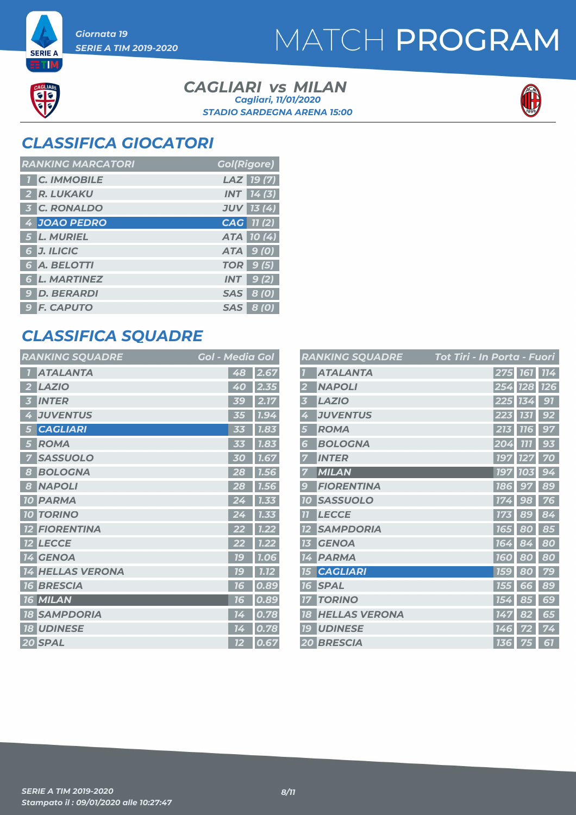## MATCH PROGRAM



**SERIE A** ETM

> *CAGLIARI* vs MILAN *STADIO SARDEGNA ARENA 15:00 Cagliari, 11/01/2020*



### *CLASSIFICA GIOCATORI*

| <b>RANKING MARCATORI</b> | <b>Gol(Rigore)</b> |
|--------------------------|--------------------|
| <b>T</b> C. IMMOBILE     | LAZ 19(7)          |
| 2 R. LUKAKU              | <b>INT</b> 14(3)   |
| <b>3 C. RONALDO</b>      | <b>JUV</b> 13 (4)  |
| 4 JOAO PEDRO             | CAG 11 (2)         |
| 5 L. MURIEL              | ATA 10(4)          |
| 6 J. ILICIC              | ATA 9 (0)          |
| 6 A. BELOTTI             | <b>TOR</b> 9 (5)   |
| <b>6 L. MARTINEZ</b>     | $INT$ 9(2)         |
| <b>9 D. BERARDI</b>      | <b>SAS</b> 8 (0)   |
| <b>9 F. CAPUTO</b>       | SAS 8 (0)          |

### *CLASSIFICA SQUADRE*

|                   | <b>RANKING SQUADRE</b>  | <b>Gol - Media Gol</b> |      |
|-------------------|-------------------------|------------------------|------|
|                   | <b>ATALANTA</b>         | 48                     | 2.67 |
| 2                 | <b>LAZIO</b>            | 40                     | 2.35 |
| 3                 | <b>INTER</b>            | 39                     | 2.17 |
| 4                 | <b>JUVENTUS</b>         | 35                     | 1.94 |
| 5                 | <b>CAGLIARI</b>         | はち                     | 1.83 |
|                   | <b>ROMA</b>             |                        | 1.83 |
|                   | <b>SASSUOLO</b>         | 30                     | 1.67 |
| 8                 | <b>BOLOGNA</b>          | 28                     | 1.56 |
| 8                 | <b>NAPOLI</b>           | 28                     | 7.56 |
| <b>10</b>         | <b>PARMA</b>            | 24                     | 1.33 |
| <b>10</b>         | <b>TORINO</b>           |                        | 1.33 |
|                   | <b>FIORENTINA</b>       |                        | 1.22 |
| $12 \overline{ }$ | <b>LECCE</b>            | 22                     | 1.22 |
|                   | <b>14 GENOA</b>         | $\Pi$ S                | 1.06 |
|                   | <b>14 HELLAS VERONA</b> | <u> 16</u>             | 1.12 |
| 76                | <b>BRESCIA</b>          | 76                     | 0.89 |
| 76                | <b>MILAN</b>            | 76                     | 0.89 |
|                   | <b>18 SAMPDORIA</b>     | 14                     | 0.78 |
|                   | <b>18 UDINESE</b>       | 14                     | 0.78 |
|                   | 20 SPAL                 | 12                     | 0.67 |

|                  | <b>RANKING SQUADRE</b> | Tot Tiri - In Porta - Fuori |            |
|------------------|------------------------|-----------------------------|------------|
|                  | <b>ATALANTA</b>        | 275 161                     | 114        |
| 2                | <b>NAPOLI</b>          | 254<br><b>128</b>           | <b>126</b> |
| 3                | <b>LAZIO</b>           | 134<br>225                  | 91         |
| 4                | <b>JUVENTUS</b>        | 223<br>- 131                | 92         |
| 5                | <b>ROMA</b>            | 213<br><b>116</b>           | 97         |
| 6                | <b>BOLOGNA</b>         | 204<br>777                  | 93         |
| 7                | <b>INTER</b>           | <b>197</b><br>127           | 70         |
| 7                | <b>MILAN</b>           | <b>197</b><br><b>103</b>    | 94         |
| $\boldsymbol{g}$ | <b>FIORENTINA</b>      | <b>186</b><br>97            | 89         |
| <b>10</b>        | <b>SASSUOLO</b>        | 174<br>98                   | 76         |
| $\overline{H}$   | <b>LECCE</b>           | 89<br>173                   | 84         |
| 12               | <b>SAMPDORIA</b>       | 165<br>80                   | 85         |
| 13               | <b>GENOA</b>           | 164<br>84                   | 80         |
| 14 <sup>1</sup>  | <b>PARMA</b>           | 80<br><b>160</b>            | 80         |
| 15               | <b>CAGLIARI</b>        | 159<br>80                   | 79         |
| 16               | <b>SPAL</b>            | 155<br>66                   | 89         |
|                  | <b>TORINO</b>          | 85<br>154                   | 69         |
| 18               | <b>HELLAS VERONA</b>   | 147<br>82                   | 65         |
| <b>19</b>        | <b>UDINESE</b>         | 146<br>72                   | 74         |
|                  | <b>20 BRESCIA</b>      | <b>136</b><br>75            | 61         |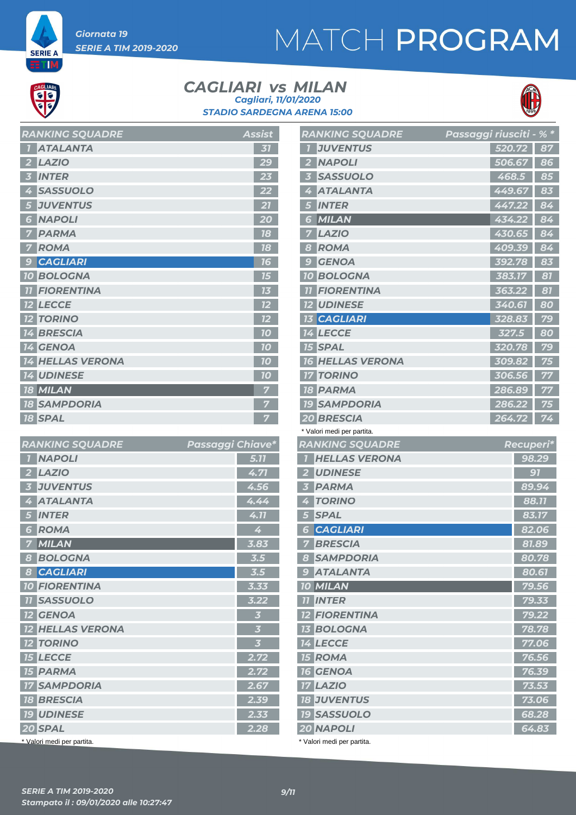## MATCH PROGRAM



**SERIE A** ETM

#### *CAGLIARI* vs MILAN *STADIO SARDEGNA ARENA 15:00 Cagliari, 11/01/2020*



| <b>RANKING SQUADRE</b>      | <b>Assist</b> |
|-----------------------------|---------------|
| <b>ATALANTA</b>             | 31            |
| <b>LAZIO</b>                | 29            |
| <b>INTER</b><br>k           | 23            |
| <b>SASSUOLO</b>             |               |
| <b>JUVENTUS</b><br>5        | 21            |
| <b>NAPOLI</b><br>6          | 20            |
| <b>PARMA</b>                | 18            |
| <b>ROMA</b>                 | 18            |
| <b>CAGLIARI</b><br>9        | 16            |
| <b>BOLOGNA</b><br><b>10</b> | -גוו          |
| <b>FIORENTINA</b>           | 75            |
| <b>LECCE</b>                | 12            |
| <b>TORINO</b>               | 12            |
| <b>BRESCIA</b><br>14        | 70            |
| <b>14 GENOA</b>             | 70            |
| <b>14 HELLAS VERONA</b>     | 10            |
| <b>14 UDINESE</b>           | 70            |
| <b>18 MILAN</b>             |               |
| <b>18 SAMPDORIA</b>         |               |
| <b>18 SPAL</b>              | 7             |

| <b>RANKING SQUADRE</b>                     | Passaggi Chiave* |                         |
|--------------------------------------------|------------------|-------------------------|
| <b>NAPOLI</b>                              |                  | 5.77                    |
| <b>LAZIO</b><br>$\overline{\mathbf{2}}$    |                  | 4.71                    |
| <b>JUVENTUS</b><br>$\overline{\mathbf{3}}$ |                  | 4.56                    |
| <b>ATALANTA</b><br>4                       |                  | 4.44                    |
| <b>INTER</b><br>5                          |                  | 4.11                    |
| <b>ROMA</b><br>6                           |                  | 4                       |
| MILAN<br>7                                 |                  | 3.83                    |
| <b>BOLOGNA</b><br>$\boldsymbol{8}$         |                  | 3.5                     |
| <b>CAGLIARI</b><br>$\boldsymbol{8}$        |                  | 3.5                     |
| <b>10 FIORENTINA</b>                       |                  | 3.33                    |
| <b>TI SASSUOLO</b>                         |                  | 3.22                    |
| <b>12 GENOA</b>                            |                  | $\overline{\mathbf{3}}$ |
| <b>12 HELLAS VERONA</b>                    |                  | $\overline{\mathbf{3}}$ |
| <b>12 TORINO</b>                           |                  | $\overline{\mathbf{3}}$ |
| <b>15 LECCE</b>                            |                  | 2.72                    |
| <b>15 PARMA</b>                            |                  | 2.72                    |
| <b>17 SAMPDORIA</b>                        |                  | 2.67                    |
| <b>18 BRESCIA</b>                          |                  | 2.39                    |
| <b>19 UDINESE</b>                          |                  | 2.33                    |
| 20 SPAL                                    |                  | 2.28                    |
| * Valori medi per partita.                 |                  |                         |

|                | <b>RANKING SQUADRE</b>                 | Passaggi riusciti - % * |        |                |
|----------------|----------------------------------------|-------------------------|--------|----------------|
|                | <b>JUVENTUS</b>                        |                         | 520.72 | 87             |
| $\mathbf{2}$   | <b>NAPOLI</b>                          |                         | 506.67 | 86             |
| 51             | <b>SASSUOLO</b>                        |                         | 468.5  | 85             |
|                | <b>ATALANTA</b>                        |                         | 449.67 | 83             |
| 5              | <b>INTER</b>                           |                         | 447.22 | 84             |
| 6              | MILAN                                  |                         | 434.22 | 84             |
| 7              | <b>LAZIO</b>                           |                         | 430.65 | 84             |
| 8              | <b>ROMA</b>                            |                         | 409.39 | 84             |
| 9              | <b>GENOA</b>                           |                         | 392.78 | 83             |
|                | <b>10 BOLOGNA</b>                      |                         | 383.17 | 81             |
| 11             | <b>FIORENTINA</b>                      |                         | 363.22 | 81             |
|                | <b>12 UDINESE</b>                      |                         | 340.61 | 80             |
|                | <b>13 CAGLIARI</b>                     |                         | 328.83 | 79             |
|                | <b>14 LECCE</b>                        |                         | 327.5  | 80             |
|                | <b>15 SPAL</b>                         |                         | 320.78 | 79             |
|                | <b>16 HELLAS VERONA</b>                |                         | 309.82 | 75             |
|                | <b>17 TORINO</b>                       |                         | 306.56 | 77             |
|                | <b>18 PARMA</b>                        |                         | 286.89 | 77             |
|                | <b>19 SAMPDORIA</b>                    |                         | 286.22 | 75             |
|                | <b>20 BRESCIA</b>                      |                         | 264.72 | 74             |
|                |                                        |                         |        |                |
|                | * Valori medi per partita.             |                         |        |                |
|                | <b>RANKING SQUADRE</b>                 |                         |        | Recuperi*      |
| $\overline{1}$ | <b>HELLAS VERONA</b>                   |                         |        | 98.29          |
| $\overline{2}$ | <b>UDINESE</b>                         |                         |        | 91             |
| 3 <sup>7</sup> | <b>PARMA</b>                           |                         |        | 89.94          |
| $\frac{1}{4}$  | <b>TORINO</b>                          |                         |        | 88.77          |
| 5 <sup>5</sup> | <b>SPAL</b>                            |                         |        | 83.17          |
|                | <b>6 CAGLIARI</b>                      |                         |        | 82.06          |
| $\overline{7}$ | <b>BRESCIA</b>                         |                         |        | 81.89          |
|                | 8 SAMPDORIA                            |                         |        | 80.78          |
|                | <b>9 ATALANTA</b>                      |                         |        | 80.61          |
|                | <b>10 MILAN</b>                        |                         |        | 79.56          |
|                | <b>TI INTER</b>                        |                         |        | 79.33          |
|                | <b>12 FIORENTINA</b>                   |                         |        | 79.22          |
|                | <b>13 BOLOGNA</b>                      |                         |        | 78.78          |
|                | <b>14 LECCE</b>                        |                         |        | 77.06          |
|                | <b>15 ROMA</b>                         |                         |        | 76.56          |
|                | <b>16 GENOA</b>                        |                         |        | 76.39          |
|                | <b>17 LAZIO</b>                        |                         |        | 73.53          |
|                | <b>18 JUVENTUS</b>                     |                         |        | 73.06          |
|                | <b>19 SASSUOLO</b><br><b>20 NAPOLI</b> |                         |        | 68.28<br>64.83 |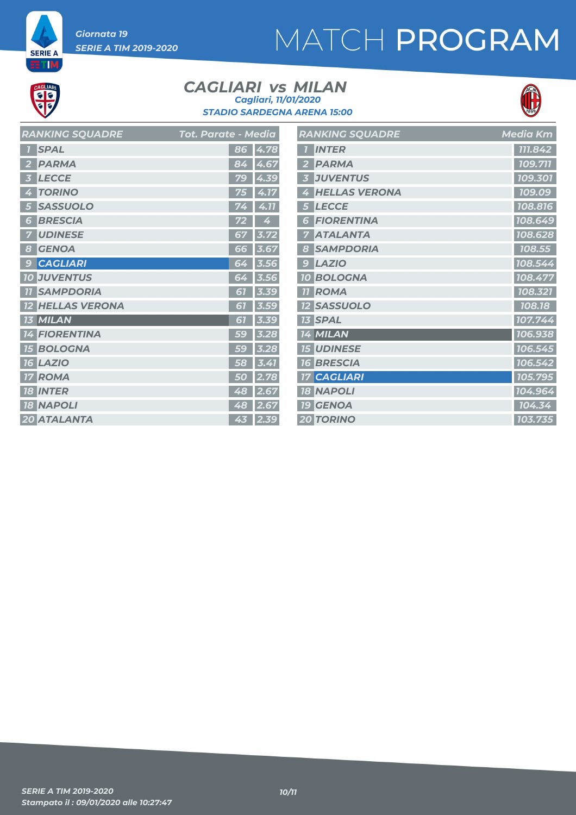## MATCH PROGRAM

# CAGLIAR<br>COC

**SERIE A** ET M

#### *CAGLIARI* vs MILAN *STADIO SARDEGNA ARENA 15:00 Cagliari, 11/01/2020*



|                | <b>RANKING SQUADRE</b> | Tot. Parate - M <u>edia</u> |      | F                                         |
|----------------|------------------------|-----------------------------|------|-------------------------------------------|
|                | <b>SPAL</b>            | 86                          | 4.78 |                                           |
|                | <b>PARMA</b>           | 84                          | 4.67 | J.                                        |
| 3              | <b>LECCE</b>           | 79                          | 4.39 |                                           |
| 4              | <b>TORINO</b>          | 75                          | 4.17 |                                           |
| 5 <sup>5</sup> | <b>SASSUOLO</b>        | 74                          | 4.11 |                                           |
| 6              | <b>BRESCIA</b>         | 72                          | 4    |                                           |
|                | <b>UDINESE</b>         | 67                          | 3.72 |                                           |
| 8              | <b>GENOA</b>           | 66                          | 3.67 |                                           |
| 9              | <b>CAGLIARI</b>        | 64                          | 3.56 |                                           |
|                | <b>10 JUVENTUS</b>     | 64                          | 3.56 | $\overline{\mathbf{I}}$                   |
| 11             | <b>SAMPDORIA</b>       | 61                          | 3.39 |                                           |
| 12             | <b>HELLAS VERONA</b>   | 51                          | 3.59 | $\frac{1}{l}$                             |
|                | <b>13 MILAN</b>        | 61                          | 3.39 |                                           |
|                | <b>14 FIORENTINA</b>   | 59                          | 3.28 |                                           |
|                | <b>15 BOLOGNA</b>      | 59                          | 3.28 |                                           |
|                | <b>16 LAZIO</b>        | 58                          | 3.41 | $\frac{1}{1}$ $\frac{1}{1}$ $\frac{1}{2}$ |
| 17             | <b>ROMA</b>            | 50                          | 2.78 |                                           |
|                | <b>18 INTER</b>        | 48                          | 2.67 |                                           |
|                | <b>18 NAPOLI</b>       | 48                          | 2.67 |                                           |
|                | 20 ATALANTA            | 43                          | 2.39 |                                           |

|                         | <b>RANKING SQUADRE</b> | <b>Media Km</b> |
|-------------------------|------------------------|-----------------|
| 7                       | <b>INTER</b>           | 111.842         |
| $\overline{2}$          | <b>PARMA</b>           | 109.711         |
| $\overline{\mathbf{3}}$ | <b>JUVENTUS</b>        | 109.301         |
| 4                       | <b>HELLAS VERONA</b>   | 109.09          |
| 5                       | <b>LECCE</b>           | 108.816         |
| 6                       | <b>FIORENTINA</b>      | 108.649         |
| 7                       | <b>ATALANTA</b>        | 108.628         |
| 8                       | <b>SAMPDORIA</b>       | 108.55          |
| 9                       | <b>LAZIO</b>           | 108.544         |
| 10                      | <b>BOLOGNA</b>         | 108.477         |
| 77                      | ROMA                   | 108.321         |
|                         | <b>12 SASSUOLO</b>     | 108.18          |
|                         | <b>13 SPAL</b>         | 107.744         |
|                         | $\overline{14}$ MILAN  | 106.938         |
|                         | <b>15 UDINESE</b>      | 106.545         |
|                         | <b>16 BRESCIA</b>      | 106.542         |
|                         | <b>17 CAGLIARI</b>     | 105.795         |
|                         | <b>18 NAPOLI</b>       | 104.964         |
|                         | <b>19 GENOA</b>        | 104.34          |
|                         | <b>20 TORINO</b>       | 103.735         |